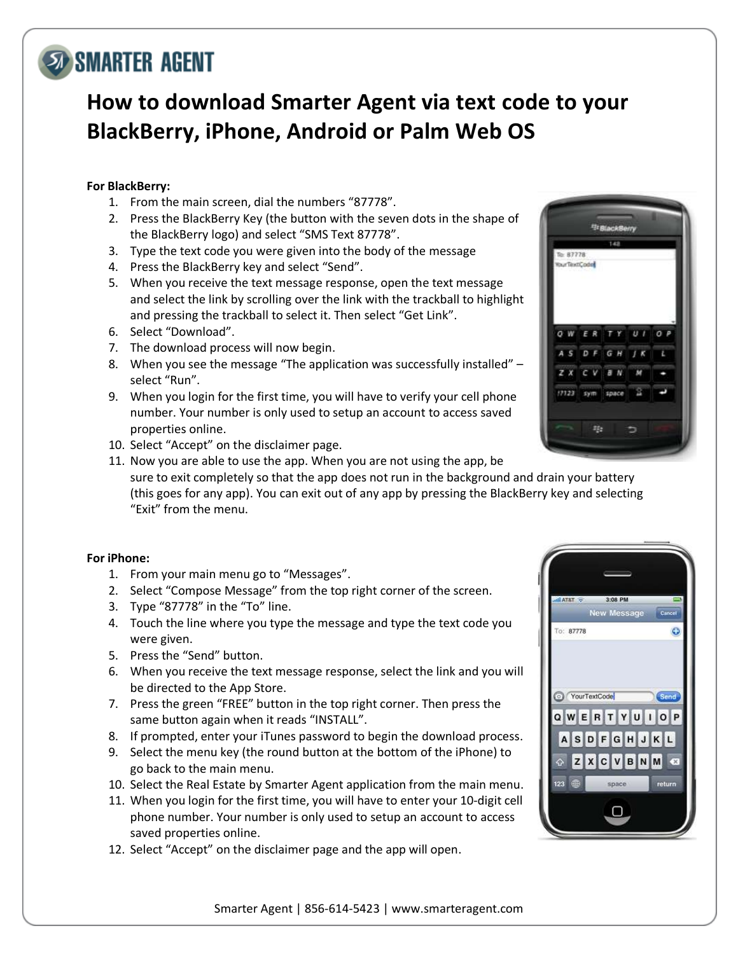### Smarter Agent | 856-614-5423 | www.smarteragent.com

# **SO SMARTER AGENT**

# **How to download Smarter Agent via text code to your BlackBerry, iPhone, Android or Palm Web OS**

# **For BlackBerry:**

- 1. From the main screen, dial the numbers "87778".
- 2. Press the BlackBerry Key (the button with the seven dots in the shape of the BlackBerry logo) and select "SMS Text 87778".
- 3. Type the text code you were given into the body of the message
- 4. Press the BlackBerry key and select "Send".
- 5. When you receive the text message response, open the text message and select the link by scrolling over the link with the trackball to highlight and pressing the trackball to select it. Then select "Get Link".
- 6. Select "Download".
- 7. The download process will now begin.
- 8. When you see the message "The application was successfully installed" select "Run".
- 9. When you login for the first time, you will have to verify your cell phone number. Your number is only used to setup an account to access saved properties online.
- 10. Select "Accept" on the disclaimer page.
- 11. Now you are able to use the app. When you are not using the app, be sure to exit completely so that the app does not run in the background and drain your battery (this goes for any app). You can exit out of any app by pressing the BlackBerry key and selecting "Exit" from the menu.

# **For iPhone:**

- 1. From your main menu go to "Messages".
- 2. Select "Compose Message" from the top right corner of the screen.
- 3. Type "87778" in the "To" line.
- 4. Touch the line where you type the message and type the text code you were given.
- 5. Press the "Send" button.
- 6. When you receive the text message response, select the link and you will be directed to the App Store.
- 7. Press the green "FREE" button in the top right corner. Then press the same button again when it reads "INSTALL".
- 8. If prompted, enter your iTunes password to begin the download process.
- 9. Select the menu key (the round button at the bottom of the iPhone) to go back to the main menu.
- 10. Select the Real Estate by Smarter Agent application from the main menu.
- 11. When you login for the first time, you will have to enter your 10-digit cell phone number. Your number is only used to setup an account to access saved properties online.
- 12. Select "Accept" on the disclaimer page and the app will open.



New Message

QWERTYUIOP ASDFGHJKL ZXCVBNM

space

 $\Box$ 

G

To: 87778

123 CD

YourTextCode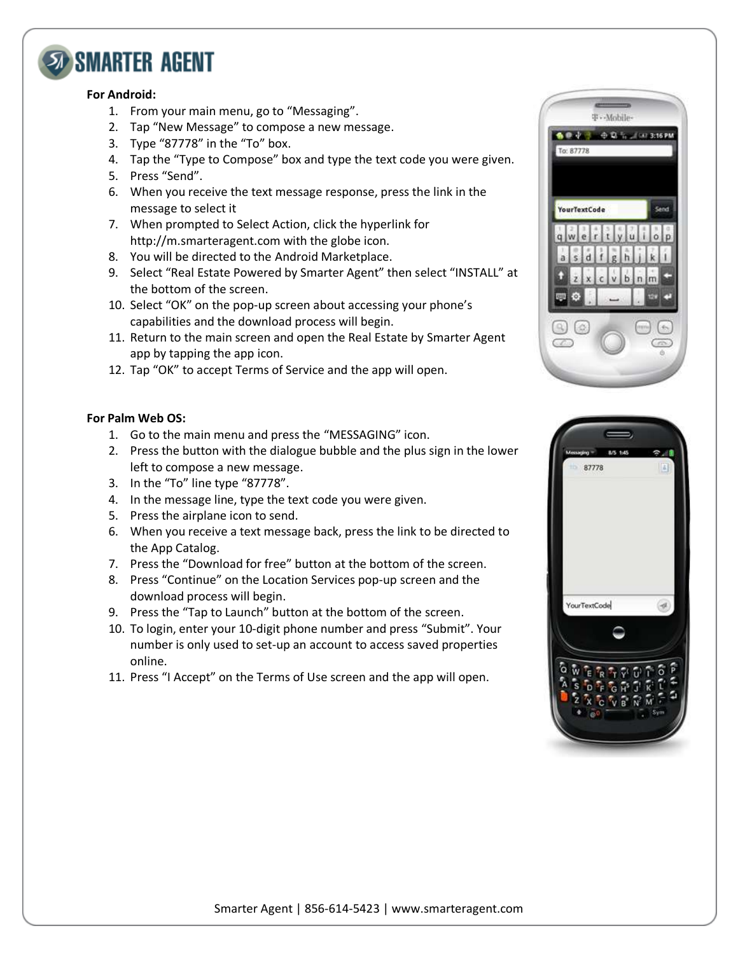

#### **For Android:**

- 1. From your main menu, go to "Messaging".
- 2. Tap "New Message" to compose a new message.
- 3. Type "87778" in the "To" box.
- 4. Tap the "Type to Compose" box and type the text code you were given.
- 5. Press "Send".
- 6. When you receive the text message response, press the link in the message to select it
- 7. When prompted to Select Action, click the hyperlink for http://m.smarteragent.com with the globe icon.
- 8. You will be directed to the Android Marketplace.
- 9. Select "Real Estate Powered by Smarter Agent" then select "INSTALL" at the bottom of the screen.
- 10. Select "OK" on the pop-up screen about accessing your phone's capabilities and the download process will begin.
- 11. Return to the main screen and open the Real Estate by Smarter Agent app by tapping the app icon.
- 12. Tap "OK" to accept Terms of Service and the app will open.

### **For Palm Web OS:**

- 1. Go to the main menu and press the "MESSAGING" icon.
- 2. Press the button with the dialogue bubble and the plus sign in the lower left to compose a new message.
- 3. In the "To" line type "87778".
- 4. In the message line, type the text code you were given.
- 5. Press the airplane icon to send.
- 6. When you receive a text message back, press the link to be directed to the App Catalog.
- 7. Press the "Download for free" button at the bottom of the screen.
- 8. Press "Continue" on the Location Services pop-up screen and the download process will begin.
- 9. Press the "Tap to Launch" button at the bottom of the screen.
- 10. To login, enter your 10-digit phone number and press "Submit". Your number is only used to set-up an account to access saved properties online.
- 11. Press "I Accept" on the Terms of Use screen and the app will open.



|              | 8/5 1:45<br>87778 |  | 16      |  |
|--------------|-------------------|--|---------|--|
|              |                   |  |         |  |
|              |                   |  |         |  |
|              |                   |  |         |  |
|              |                   |  |         |  |
| YourTextCode |                   |  |         |  |
|              |                   |  |         |  |
|              |                   |  |         |  |
|              |                   |  |         |  |
| $\bullet$ 00 |                   |  | $S_{Y}$ |  |
|              |                   |  |         |  |